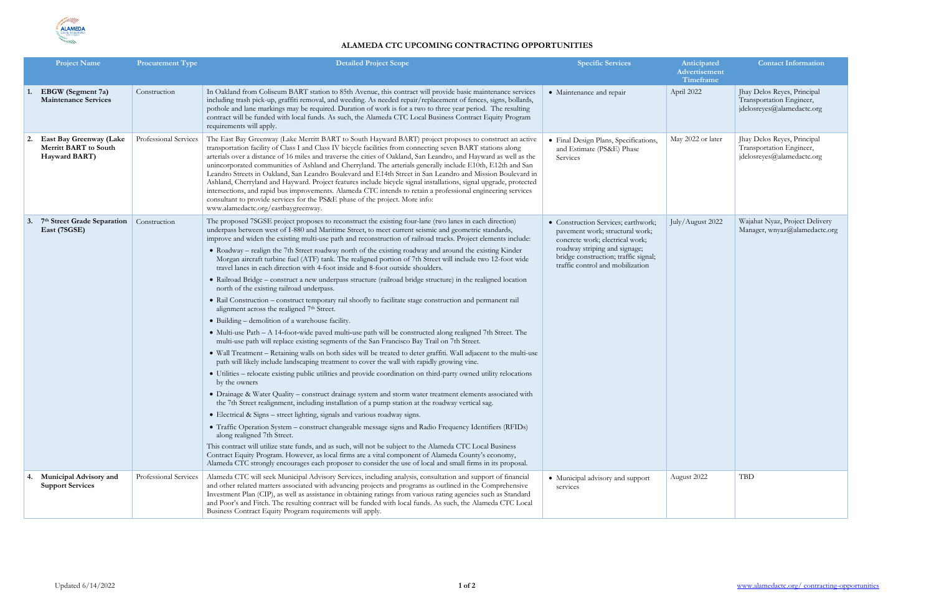

## **ALAMEDA CTC UPCOMING CONTRACTING OPPORTUNITIES**

|    | <b>Project Name</b>                                                      | <b>Procurement Type</b> | <b>Detailed Project Scope</b>                                                                                                                                                                                                                                                                                                                                                                                                                                                                                                                                                                                                                                                                                                                                                                                                                                                                                                        | <b>Specific Services</b>                                                                                                                                                                                               | Anticipated<br>Advertisement<br>Timeframe | <b>Contact Information</b>                                                            |
|----|--------------------------------------------------------------------------|-------------------------|--------------------------------------------------------------------------------------------------------------------------------------------------------------------------------------------------------------------------------------------------------------------------------------------------------------------------------------------------------------------------------------------------------------------------------------------------------------------------------------------------------------------------------------------------------------------------------------------------------------------------------------------------------------------------------------------------------------------------------------------------------------------------------------------------------------------------------------------------------------------------------------------------------------------------------------|------------------------------------------------------------------------------------------------------------------------------------------------------------------------------------------------------------------------|-------------------------------------------|---------------------------------------------------------------------------------------|
|    | <b>EBGW</b> (Segment 7a)<br><b>Maintenance Services</b>                  | Construction            | In Oakland from Coliseum BART station to 85th Avenue, this contract will provide basic maintenance services<br>including trash pick-up, graffiti removal, and weeding. As needed repair/replacement of fences, signs, bollards,<br>pothole and lane markings may be required. Duration of work is for a two to three year period. The resulting<br>contract will be funded with local funds. As such, the Alameda CTC Local Business Contract Equity Program<br>requirements will apply.                                                                                                                                                                                                                                                                                                                                                                                                                                             | • Maintenance and repair                                                                                                                                                                                               | April 2022                                | Jhay Delos Reyes, Principal<br>Transportation Engineer,<br>jdelosreyes@alamedactc.org |
|    | East Bay Greenway (Lake<br><b>Merritt BART</b> to South<br>Hayward BART) | Professional Services   | The East Bay Greenway (Lake Merritt BART to South Hayward BART) project proposes to construct an active<br>transportation facility of Class I and Class IV bicycle facilities from connecting seven BART stations along<br>arterials over a distance of 16 miles and traverse the cities of Oakland, San Leandro, and Hayward as well as the<br>unincorporated communities of Ashland and Cherryland. The arterials generally include E10th, E12th and San<br>Leandro Streets in Oakland, San Leandro Boulevard and E14th Street in San Leandro and Mission Boulevard in<br>Ashland, Cherryland and Hayward. Project features include bicycle signal installations, signal upgrade, protected<br>intersections, and rapid bus improvements. Alameda CTC intends to retain a professional engineering services<br>consultant to provide services for the PS&E phase of the project. More info:<br>www.alamedactc.org/eastbaygreenway. | · Final Design Plans, Specifications,<br>and Estimate (PS&E) Phase<br>Services                                                                                                                                         | May 2022 or later                         | Jhay Delos Reyes, Principal<br>Transportation Engineer,<br>jdelosreyes@alamedactc.org |
| 3. | 7th Street Grade Separation   Construction<br>East (7SGSE)               |                         | The proposed 7SGSE project proposes to reconstruct the existing four-lane (two lanes in each direction)<br>underpass between west of I-880 and Maritime Street, to meet current seismic and geometric standards,<br>improve and widen the existing multi-use path and reconstruction of railroad tracks. Project elements include:                                                                                                                                                                                                                                                                                                                                                                                                                                                                                                                                                                                                   | • Construction Services; earthwork;<br>pavement work; structural work;<br>concrete work; electrical work;<br>roadway striping and signage;<br>bridge construction; traffic signal;<br>traffic control and mobilization | July/August 2022                          | Wajahat Nyaz, Project Delivery<br>Manager, wnyaz@alamedactc.org                       |
|    |                                                                          |                         | • Roadway – realign the 7th Street roadway north of the existing roadway and around the existing Kinder<br>Morgan aircraft turbine fuel (ATF) tank. The realigned portion of 7th Street will include two 12-foot wide<br>travel lanes in each direction with 4-foot inside and 8-foot outside shoulders.                                                                                                                                                                                                                                                                                                                                                                                                                                                                                                                                                                                                                             |                                                                                                                                                                                                                        |                                           |                                                                                       |
|    |                                                                          |                         | • Railroad Bridge – construct a new underpass structure (railroad bridge structure) in the realigned location<br>north of the existing railroad underpass.                                                                                                                                                                                                                                                                                                                                                                                                                                                                                                                                                                                                                                                                                                                                                                           |                                                                                                                                                                                                                        |                                           |                                                                                       |
|    |                                                                          |                         | • Rail Construction – construct temporary rail shoofly to facilitate stage construction and permanent rail<br>alignment across the realigned 7 <sup>th</sup> Street.                                                                                                                                                                                                                                                                                                                                                                                                                                                                                                                                                                                                                                                                                                                                                                 |                                                                                                                                                                                                                        |                                           |                                                                                       |
|    |                                                                          |                         | • Building – demolition of a warehouse facility.                                                                                                                                                                                                                                                                                                                                                                                                                                                                                                                                                                                                                                                                                                                                                                                                                                                                                     |                                                                                                                                                                                                                        |                                           |                                                                                       |
|    |                                                                          |                         | • Multi-use Path – A 14-foot-wide paved multi-use path will be constructed along realigned 7th Street. The<br>multi-use path will replace existing segments of the San Francisco Bay Trail on 7th Street.                                                                                                                                                                                                                                                                                                                                                                                                                                                                                                                                                                                                                                                                                                                            |                                                                                                                                                                                                                        |                                           |                                                                                       |
|    |                                                                          |                         | • Wall Treatment - Retaining walls on both sides will be treated to deter graffiti. Wall adjacent to the multi-use<br>path will likely include landscaping treatment to cover the wall with rapidly growing vine.                                                                                                                                                                                                                                                                                                                                                                                                                                                                                                                                                                                                                                                                                                                    |                                                                                                                                                                                                                        |                                           |                                                                                       |
|    |                                                                          |                         | • Utilities – relocate existing public utilities and provide coordination on third-party owned utility relocations<br>by the owners                                                                                                                                                                                                                                                                                                                                                                                                                                                                                                                                                                                                                                                                                                                                                                                                  |                                                                                                                                                                                                                        |                                           |                                                                                       |
|    |                                                                          |                         | • Drainage & Water Quality - construct drainage system and storm water treatment elements associated with<br>the 7th Street realignment, including installation of a pump station at the roadway vertical sag.                                                                                                                                                                                                                                                                                                                                                                                                                                                                                                                                                                                                                                                                                                                       |                                                                                                                                                                                                                        |                                           |                                                                                       |
|    |                                                                          |                         | • Electrical & Signs – street lighting, signals and various roadway signs.                                                                                                                                                                                                                                                                                                                                                                                                                                                                                                                                                                                                                                                                                                                                                                                                                                                           |                                                                                                                                                                                                                        |                                           |                                                                                       |
|    |                                                                          |                         | • Traffic Operation System – construct changeable message signs and Radio Frequency Identifiers (RFIDs)<br>along realigned 7th Street.                                                                                                                                                                                                                                                                                                                                                                                                                                                                                                                                                                                                                                                                                                                                                                                               |                                                                                                                                                                                                                        |                                           |                                                                                       |
|    |                                                                          |                         | This contract will utilize state funds, and as such, will not be subject to the Alameda CTC Local Business<br>Contract Equity Program. However, as local firms are a vital component of Alameda County's economy,<br>Alameda CTC strongly encourages each proposer to consider the use of local and small firms in its proposal.                                                                                                                                                                                                                                                                                                                                                                                                                                                                                                                                                                                                     |                                                                                                                                                                                                                        |                                           |                                                                                       |
|    | <b>Municipal Advisory and</b><br><b>Support Services</b>                 | Professional Services   | Alameda CTC will seek Municipal Advisory Services, including analysis, consultation and support of financial<br>and other related matters associated with advancing projects and programs as outlined in the Comprehensive<br>Investment Plan (CIP), as well as assistance in obtaining ratings from various rating agencies such as Standard<br>and Poor's and Fitch. The resulting contract will be funded with local funds. As such, the Alameda CTC Local<br>Business Contract Equity Program requirements will apply.                                                                                                                                                                                                                                                                                                                                                                                                           | • Municipal advisory and support<br>services                                                                                                                                                                           | August 2022                               | <b>TBD</b>                                                                            |